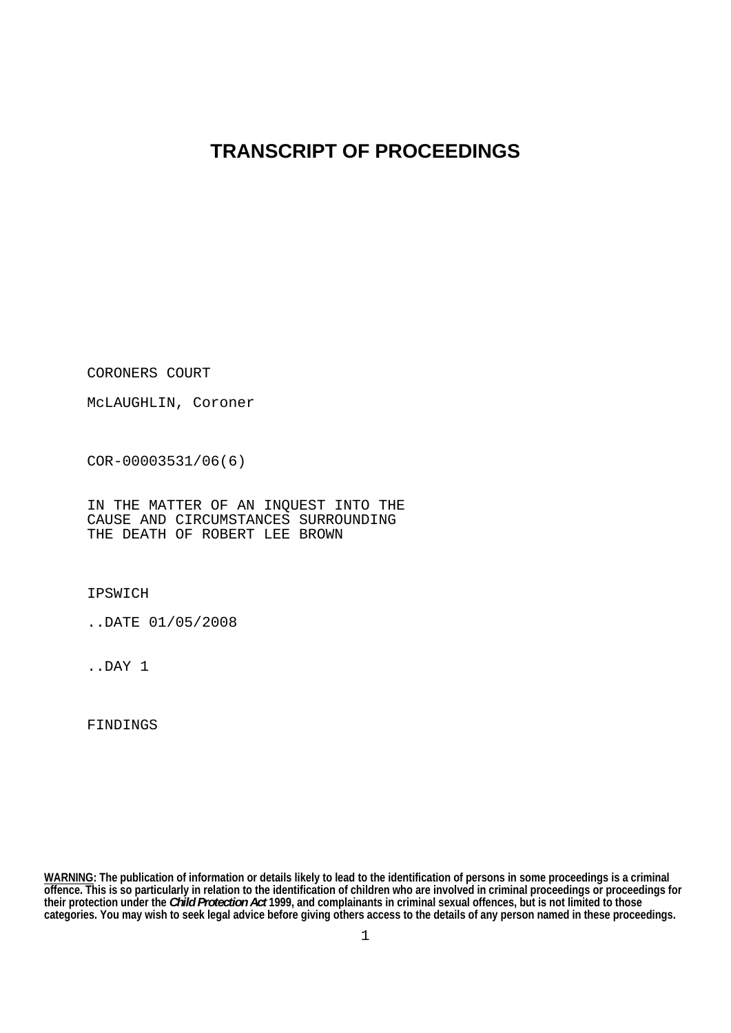# **TRANSCRIPT OF PROCEEDINGS**

CORONERS COURT

McLAUGHLIN, Coroner

COR-00003531/06(6)

IN THE MATTER OF AN INQUEST INTO THE CAUSE AND CIRCUMSTANCES SURROUNDING THE DEATH OF ROBERT LEE BROWN

IPSWICH

..DATE 01/05/2008

..DAY 1

FINDINGS

**WARNING: The publication of information or details likely to lead to the identification of persons in some proceedings is a criminal offence. This is so particularly in relation to the identification of children who are involved in criminal proceedings or proceedings for their protection under the** *Child Protection Act* **1999, and complainants in criminal sexual offences, but is not limited to those categories. You may wish to seek legal advice before giving others access to the details of any person named in these proceedings.**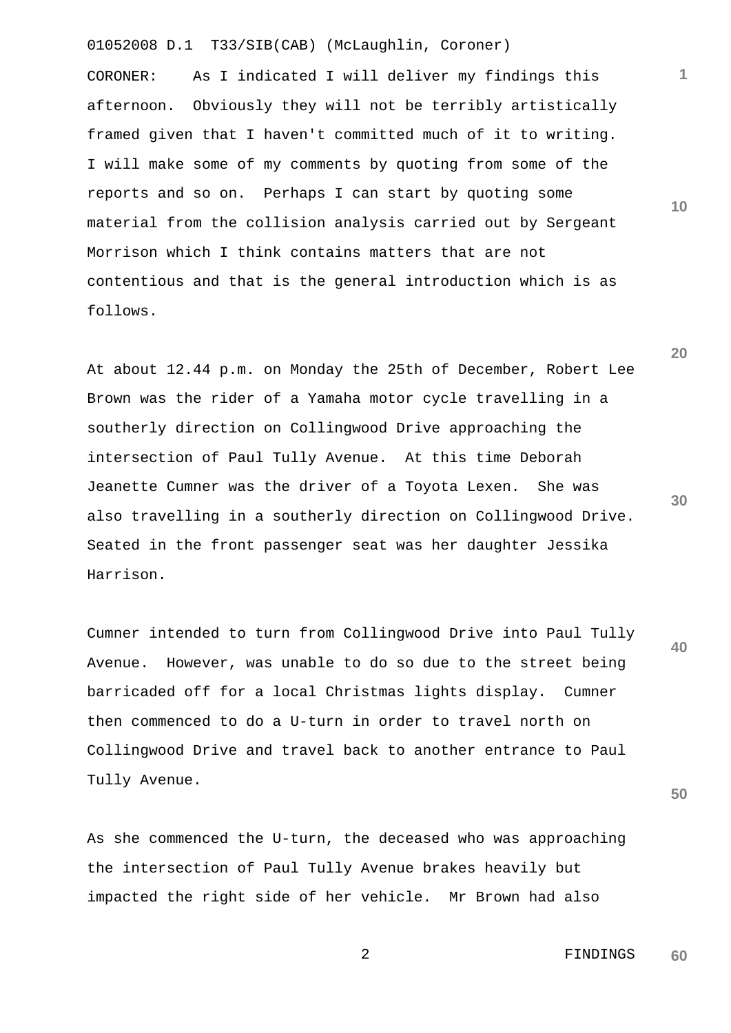CORONER: As I indicated I will deliver my findings this afternoon. Obviously they will not be terribly artistically framed given that I haven't committed much of it to writing. I will make some of my comments by quoting from some of the reports and so on. Perhaps I can start by quoting some material from the collision analysis carried out by Sergeant Morrison which I think contains matters that are not contentious and that is the general introduction which is as follows.

At about 12.44 p.m. on Monday the 25th of December, Robert Lee Brown was the rider of a Yamaha motor cycle travelling in a southerly direction on Collingwood Drive approaching the intersection of Paul Tully Avenue. At this time Deborah Jeanette Cumner was the driver of a Toyota Lexen. She was also travelling in a southerly direction on Collingwood Drive. Seated in the front passenger seat was her daughter Jessika Harrison.

**40**  Cumner intended to turn from Collingwood Drive into Paul Tully Avenue. However, was unable to do so due to the street being barricaded off for a local Christmas lights display. Cumner then commenced to do a U-turn in order to travel north on Collingwood Drive and travel back to another entrance to Paul Tully Avenue.

As she commenced the U-turn, the deceased who was approaching the intersection of Paul Tully Avenue brakes heavily but impacted the right side of her vehicle. Mr Brown had also

**30** 

**50** 

01052008 D.1 T33/SIB(CAB) (McLaughlin, Coroner)

**1**

**10**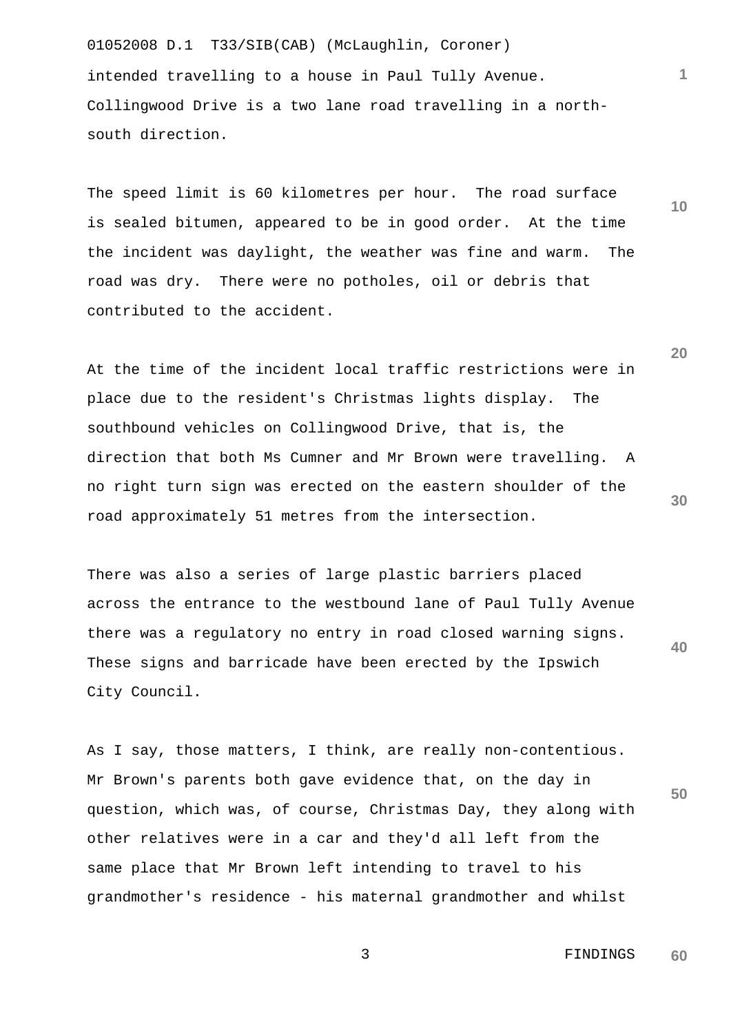01052008 D.1 T33/SIB(CAB) (McLaughlin, Coroner) intended travelling to a house in Paul Tully Avenue. Collingwood Drive is a two lane road travelling in a northsouth direction.

The speed limit is 60 kilometres per hour. The road surface is sealed bitumen, appeared to be in good order. At the time the incident was daylight, the weather was fine and warm. The road was dry. There were no potholes, oil or debris that contributed to the accident.

At the time of the incident local traffic restrictions were in place due to the resident's Christmas lights display. The southbound vehicles on Collingwood Drive, that is, the direction that both Ms Cumner and Mr Brown were travelling. A no right turn sign was erected on the eastern shoulder of the road approximately 51 metres from the intersection.

**40**  There was also a series of large plastic barriers placed across the entrance to the westbound lane of Paul Tully Avenue there was a regulatory no entry in road closed warning signs. These signs and barricade have been erected by the Ipswich City Council.

**50**  As I say, those matters, I think, are really non-contentious. Mr Brown's parents both gave evidence that, on the day in question, which was, of course, Christmas Day, they along with other relatives were in a car and they'd all left from the same place that Mr Brown left intending to travel to his grandmother's residence - his maternal grandmother and whilst

> 3 FINDINGS **60**

**20** 

**10** 

**1**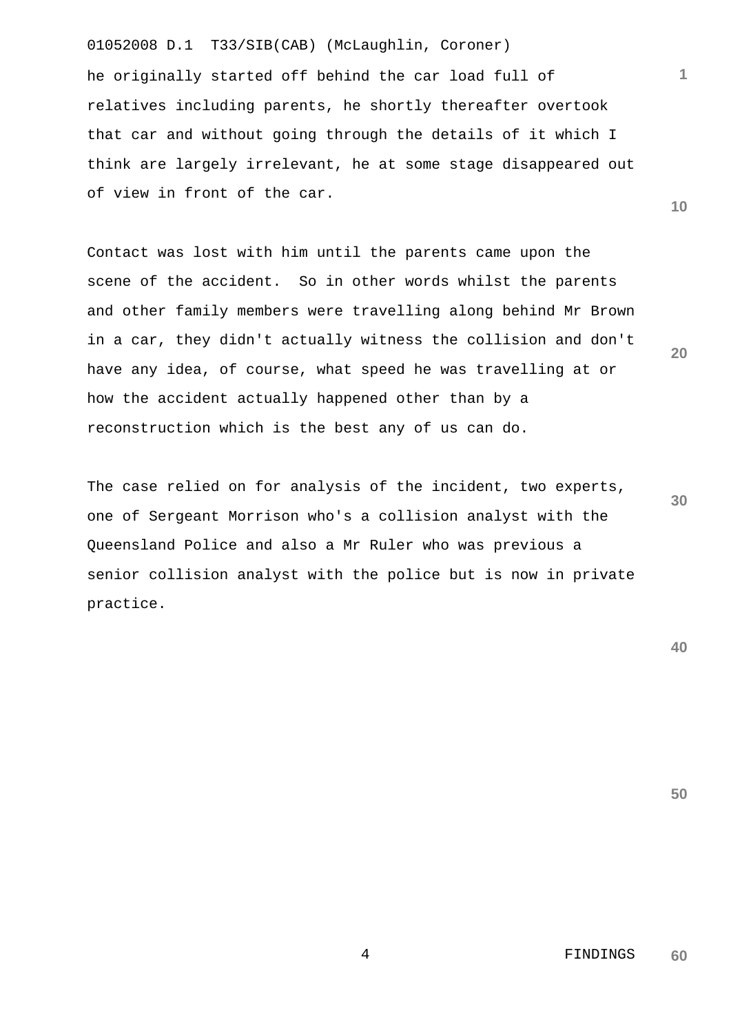01052008 D.1 T33/SIB(CAB) (McLaughlin, Coroner) he originally started off behind the car load full of relatives including parents, he shortly thereafter overtook that car and without going through the details of it which I think are largely irrelevant, he at some stage disappeared out of view in front of the car.

Contact was lost with him until the parents came upon the scene of the accident. So in other words whilst the parents and other family members were travelling along behind Mr Brown in a car, they didn't actually witness the collision and don't have any idea, of course, what speed he was travelling at or how the accident actually happened other than by a reconstruction which is the best any of us can do.

The case relied on for analysis of the incident, two experts, one of Sergeant Morrison who's a collision analyst with the Queensland Police and also a Mr Ruler who was previous a senior collision analyst with the police but is now in private practice.

**40** 

**50** 

**1**

**10** 

**20** 

**30** 

 4 FINDINGS **60**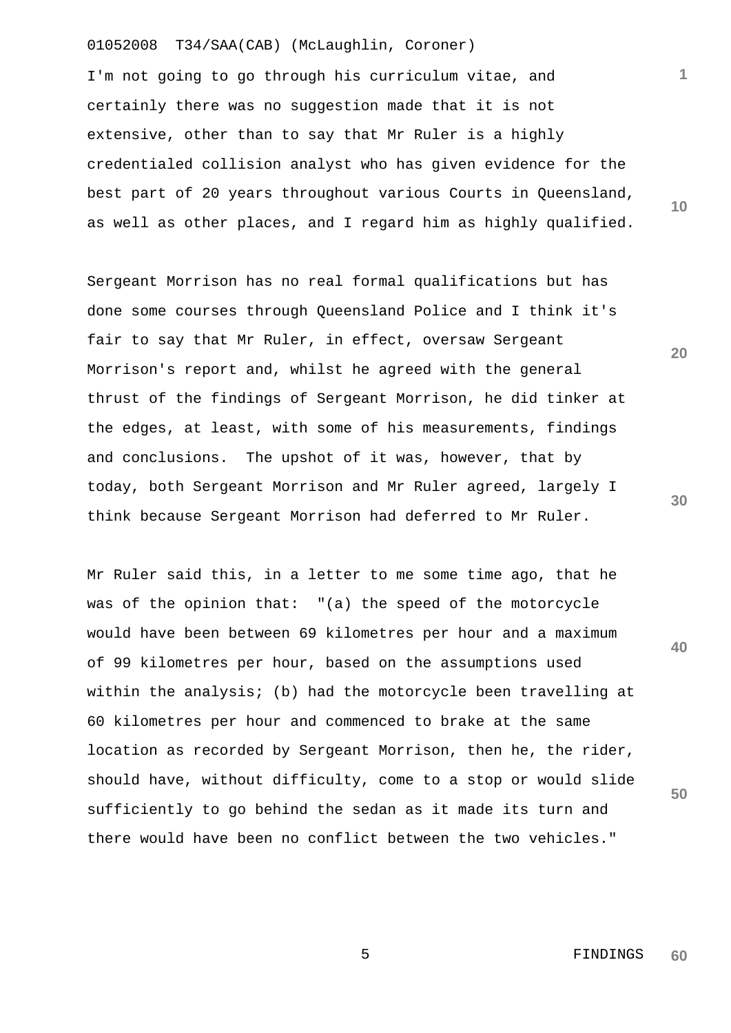I'm not going to go through his curriculum vitae, and certainly there was no suggestion made that it is not extensive, other than to say that Mr Ruler is a highly credentialed collision analyst who has given evidence for the best part of 20 years throughout various Courts in Queensland, as well as other places, and I regard him as highly qualified.

Sergeant Morrison has no real formal qualifications but has done some courses through Queensland Police and I think it's fair to say that Mr Ruler, in effect, oversaw Sergeant Morrison's report and, whilst he agreed with the general thrust of the findings of Sergeant Morrison, he did tinker at the edges, at least, with some of his measurements, findings and conclusions. The upshot of it was, however, that by today, both Sergeant Morrison and Mr Ruler agreed, largely I think because Sergeant Morrison had deferred to Mr Ruler.

**40 50**  Mr Ruler said this, in a letter to me some time ago, that he was of the opinion that: "(a) the speed of the motorcycle would have been between 69 kilometres per hour and a maximum of 99 kilometres per hour, based on the assumptions used within the analysis; (b) had the motorcycle been travelling at 60 kilometres per hour and commenced to brake at the same location as recorded by Sergeant Morrison, then he, the rider, should have, without difficulty, come to a stop or would slide sufficiently to go behind the sedan as it made its turn and there would have been no conflict between the two vehicles."

 5 FINDINGS **60** 

**1**

**10** 

**20**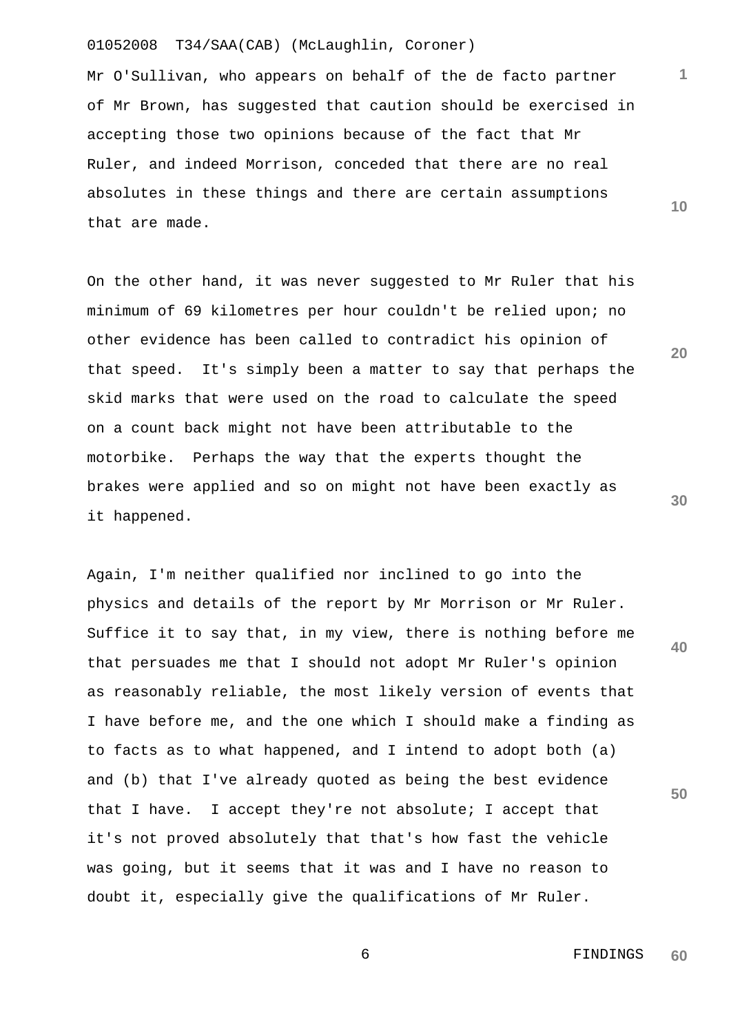Mr O'Sullivan, who appears on behalf of the de facto partner of Mr Brown, has suggested that caution should be exercised in accepting those two opinions because of the fact that Mr Ruler, and indeed Morrison, conceded that there are no real absolutes in these things and there are certain assumptions that are made.

On the other hand, it was never suggested to Mr Ruler that his minimum of 69 kilometres per hour couldn't be relied upon; no other evidence has been called to contradict his opinion of that speed. It's simply been a matter to say that perhaps the skid marks that were used on the road to calculate the speed on a count back might not have been attributable to the motorbike. Perhaps the way that the experts thought the brakes were applied and so on might not have been exactly as it happened.

Again, I'm neither qualified nor inclined to go into the physics and details of the report by Mr Morrison or Mr Ruler. Suffice it to say that, in my view, there is nothing before me that persuades me that I should not adopt Mr Ruler's opinion as reasonably reliable, the most likely version of events that I have before me, and the one which I should make a finding as to facts as to what happened, and I intend to adopt both (a) and (b) that I've already quoted as being the best evidence that I have. I accept they're not absolute; I accept that it's not proved absolutely that that's how fast the vehicle was going, but it seems that it was and I have no reason to doubt it, especially give the qualifications of Mr Ruler.

**10** 

**1**

**20** 

**30** 

**40**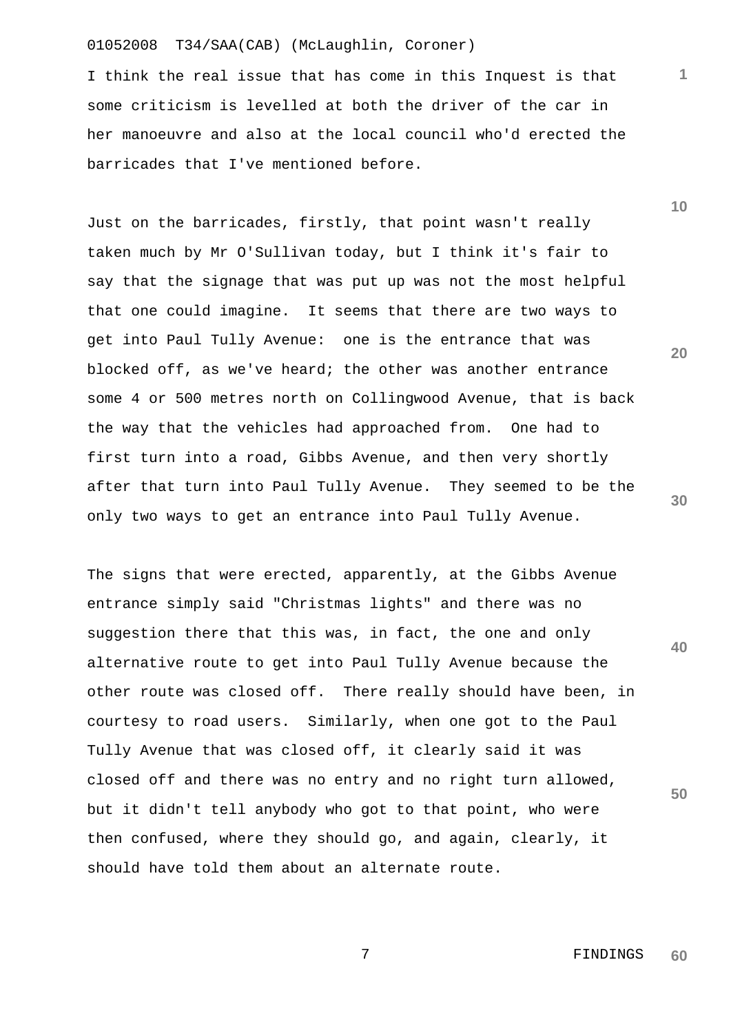I think the real issue that has come in this Inquest is that some criticism is levelled at both the driver of the car in her manoeuvre and also at the local council who'd erected the barricades that I've mentioned before.

Just on the barricades, firstly, that point wasn't really taken much by Mr O'Sullivan today, but I think it's fair to say that the signage that was put up was not the most helpful that one could imagine. It seems that there are two ways to get into Paul Tully Avenue: one is the entrance that was blocked off, as we've heard; the other was another entrance some 4 or 500 metres north on Collingwood Avenue, that is back the way that the vehicles had approached from. One had to first turn into a road, Gibbs Avenue, and then very shortly after that turn into Paul Tully Avenue. They seemed to be the only two ways to get an entrance into Paul Tully Avenue.

The signs that were erected, apparently, at the Gibbs Avenue entrance simply said "Christmas lights" and there was no suggestion there that this was, in fact, the one and only alternative route to get into Paul Tully Avenue because the other route was closed off. There really should have been, in courtesy to road users. Similarly, when one got to the Paul Tully Avenue that was closed off, it clearly said it was closed off and there was no entry and no right turn allowed, but it didn't tell anybody who got to that point, who were then confused, where they should go, and again, clearly, it should have told them about an alternate route.

**10** 

**1**

**20** 

**30** 

**40**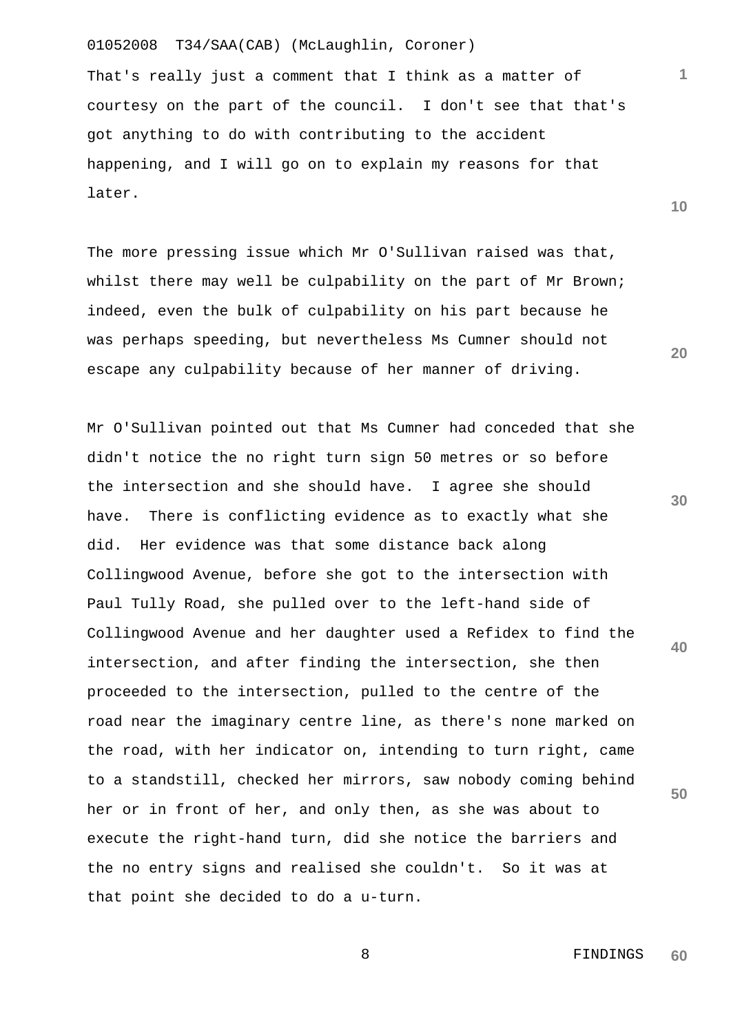That's really just a comment that I think as a matter of courtesy on the part of the council. I don't see that that's got anything to do with contributing to the accident happening, and I will go on to explain my reasons for that later.

The more pressing issue which Mr O'Sullivan raised was that, whilst there may well be culpability on the part of Mr Brown; indeed, even the bulk of culpability on his part because he was perhaps speeding, but nevertheless Ms Cumner should not escape any culpability because of her manner of driving.

**30 40 50**  Mr O'Sullivan pointed out that Ms Cumner had conceded that she didn't notice the no right turn sign 50 metres or so before the intersection and she should have. I agree she should have. There is conflicting evidence as to exactly what she did. Her evidence was that some distance back along Collingwood Avenue, before she got to the intersection with Paul Tully Road, she pulled over to the left-hand side of Collingwood Avenue and her daughter used a Refidex to find the intersection, and after finding the intersection, she then proceeded to the intersection, pulled to the centre of the road near the imaginary centre line, as there's none marked on the road, with her indicator on, intending to turn right, came to a standstill, checked her mirrors, saw nobody coming behind her or in front of her, and only then, as she was about to execute the right-hand turn, did she notice the barriers and the no entry signs and realised she couldn't. So it was at that point she decided to do a u-turn.

**1**

**10**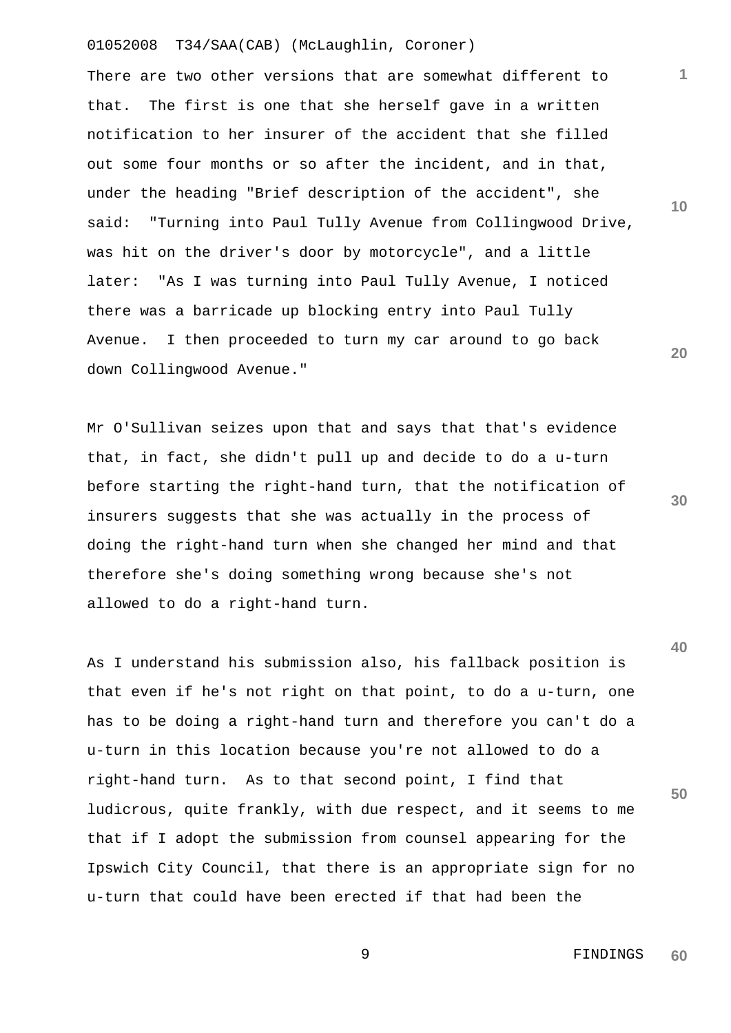There are two other versions that are somewhat different to that. The first is one that she herself gave in a written notification to her insurer of the accident that she filled out some four months or so after the incident, and in that, under the heading "Brief description of the accident", she said: "Turning into Paul Tully Avenue from Collingwood Drive, was hit on the driver's door by motorcycle", and a little later: "As I was turning into Paul Tully Avenue, I noticed there was a barricade up blocking entry into Paul Tully Avenue. I then proceeded to turn my car around to go back down Collingwood Avenue."

Mr O'Sullivan seizes upon that and says that that's evidence that, in fact, she didn't pull up and decide to do a u-turn before starting the right-hand turn, that the notification of insurers suggests that she was actually in the process of doing the right-hand turn when she changed her mind and that therefore she's doing something wrong because she's not allowed to do a right-hand turn.

As I understand his submission also, his fallback position is that even if he's not right on that point, to do a u-turn, one has to be doing a right-hand turn and therefore you can't do a u-turn in this location because you're not allowed to do a right-hand turn. As to that second point, I find that ludicrous, quite frankly, with due respect, and it seems to me that if I adopt the submission from counsel appearing for the Ipswich City Council, that there is an appropriate sign for no u-turn that could have been erected if that had been the

**30** 

**20** 

**1**

**10** 

**50** 

 9 FINDINGS **60**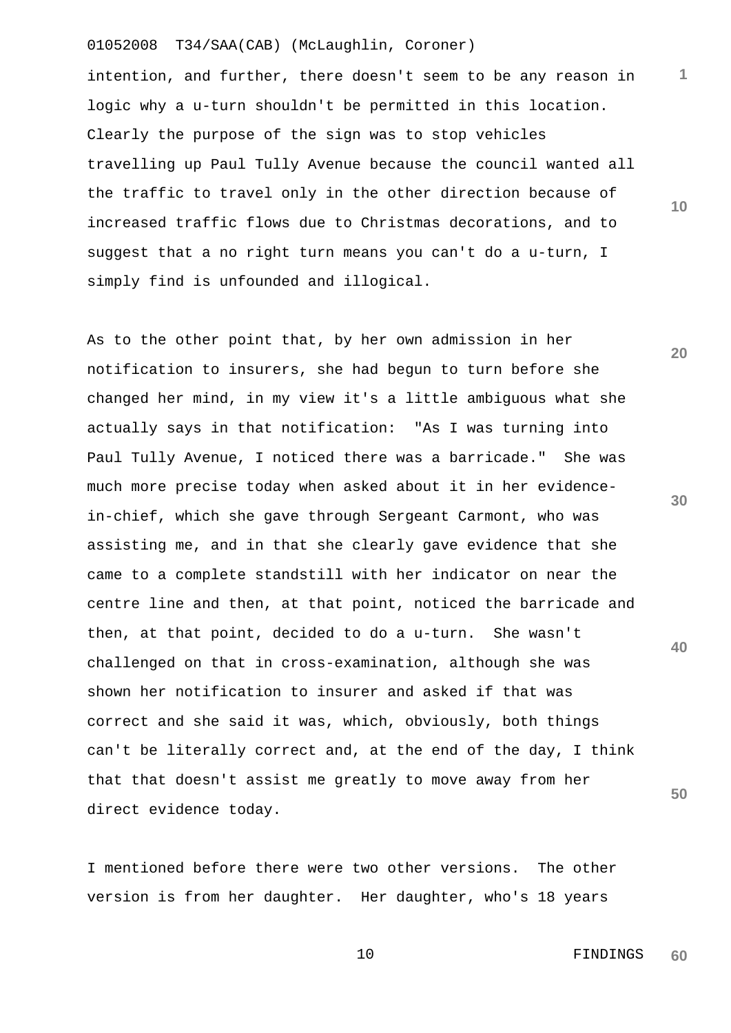intention, and further, there doesn't seem to be any reason in logic why a u-turn shouldn't be permitted in this location. Clearly the purpose of the sign was to stop vehicles travelling up Paul Tully Avenue because the council wanted all the traffic to travel only in the other direction because of increased traffic flows due to Christmas decorations, and to suggest that a no right turn means you can't do a u-turn, I simply find is unfounded and illogical.

**20 40 50**  As to the other point that, by her own admission in her notification to insurers, she had begun to turn before she changed her mind, in my view it's a little ambiguous what she actually says in that notification: "As I was turning into Paul Tully Avenue, I noticed there was a barricade." She was much more precise today when asked about it in her evidencein-chief, which she gave through Sergeant Carmont, who was assisting me, and in that she clearly gave evidence that she came to a complete standstill with her indicator on near the centre line and then, at that point, noticed the barricade and then, at that point, decided to do a u-turn. She wasn't challenged on that in cross-examination, although she was shown her notification to insurer and asked if that was correct and she said it was, which, obviously, both things can't be literally correct and, at the end of the day, I think that that doesn't assist me greatly to move away from her direct evidence today.

I mentioned before there were two other versions. The other version is from her daughter. Her daughter, who's 18 years

**30** 

**1**

**10** 

 10 FINDINGS **60**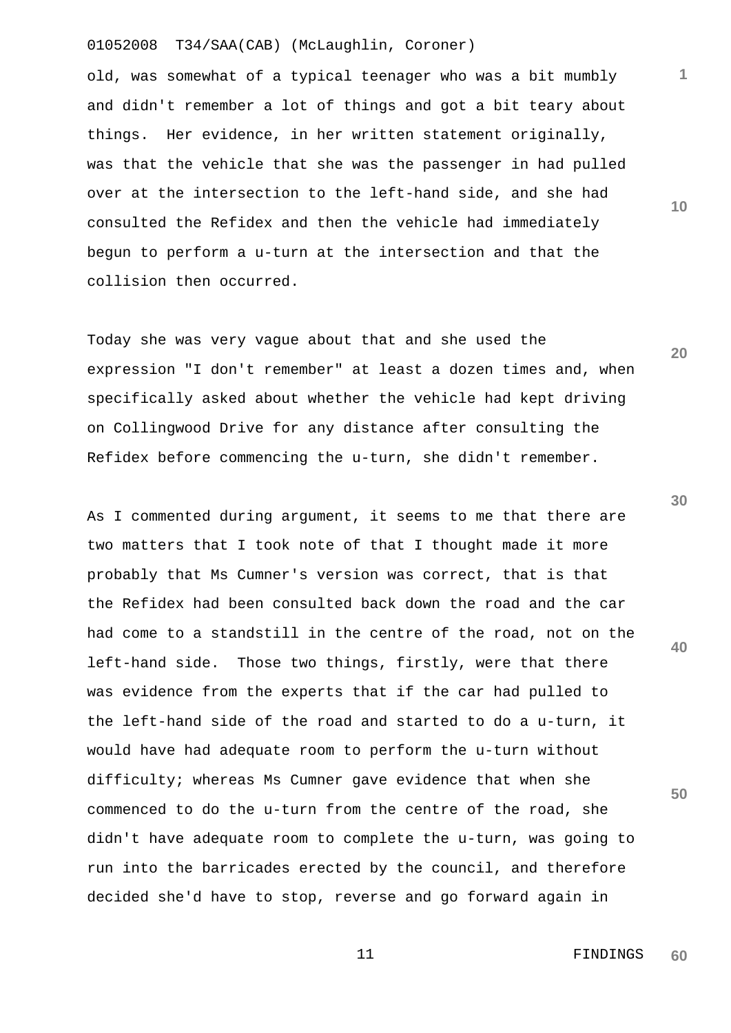old, was somewhat of a typical teenager who was a bit mumbly and didn't remember a lot of things and got a bit teary about things. Her evidence, in her written statement originally, was that the vehicle that she was the passenger in had pulled over at the intersection to the left-hand side, and she had consulted the Refidex and then the vehicle had immediately begun to perform a u-turn at the intersection and that the collision then occurred.

Today she was very vague about that and she used the expression "I don't remember" at least a dozen times and, when specifically asked about whether the vehicle had kept driving on Collingwood Drive for any distance after consulting the Refidex before commencing the u-turn, she didn't remember.

As I commented during argument, it seems to me that there are two matters that I took note of that I thought made it more probably that Ms Cumner's version was correct, that is that the Refidex had been consulted back down the road and the car had come to a standstill in the centre of the road, not on the left-hand side. Those two things, firstly, were that there was evidence from the experts that if the car had pulled to the left-hand side of the road and started to do a u-turn, it would have had adequate room to perform the u-turn without difficulty; whereas Ms Cumner gave evidence that when she commenced to do the u-turn from the centre of the road, she didn't have adequate room to complete the u-turn, was going to run into the barricades erected by the council, and therefore decided she'd have to stop, reverse and go forward again in

**30** 

**1**

**10** 

**20** 

**40**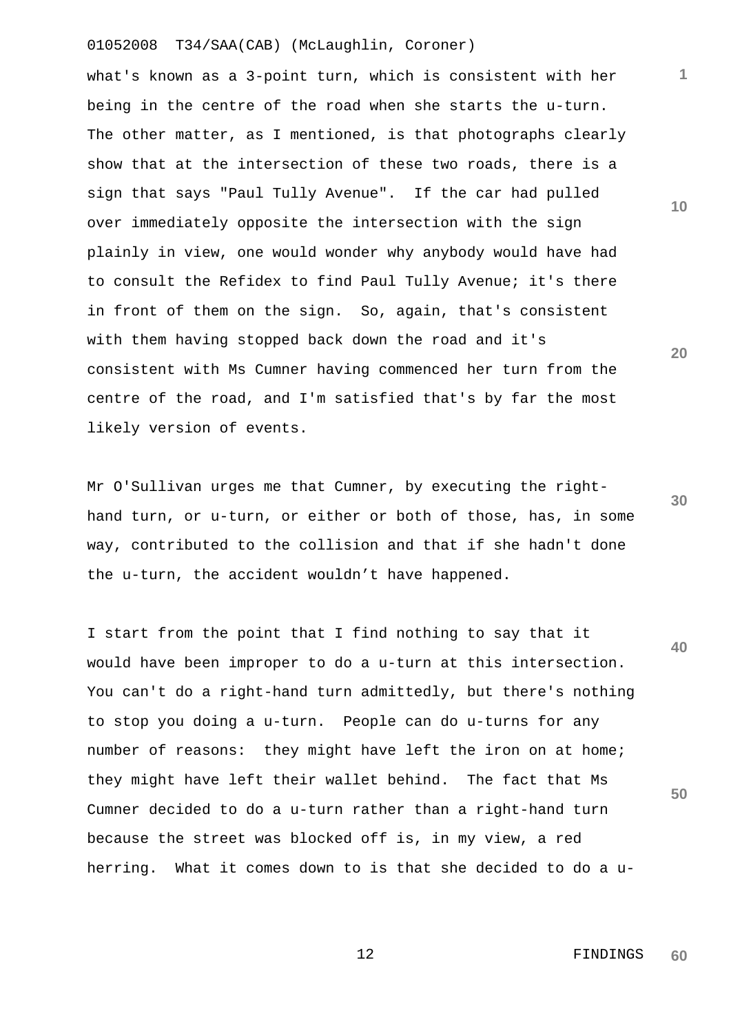what's known as a 3-point turn, which is consistent with her being in the centre of the road when she starts the u-turn. The other matter, as I mentioned, is that photographs clearly show that at the intersection of these two roads, there is a sign that says "Paul Tully Avenue". If the car had pulled over immediately opposite the intersection with the sign plainly in view, one would wonder why anybody would have had to consult the Refidex to find Paul Tully Avenue; it's there in front of them on the sign. So, again, that's consistent with them having stopped back down the road and it's consistent with Ms Cumner having commenced her turn from the centre of the road, and I'm satisfied that's by far the most likely version of events.

Mr O'Sullivan urges me that Cumner, by executing the righthand turn, or u-turn, or either or both of those, has, in some way, contributed to the collision and that if she hadn't done the u-turn, the accident wouldn't have happened.

**40 50**  I start from the point that I find nothing to say that it would have been improper to do a u-turn at this intersection. You can't do a right-hand turn admittedly, but there's nothing to stop you doing a u-turn. People can do u-turns for any number of reasons: they might have left the iron on at home; they might have left their wallet behind. The fact that Ms Cumner decided to do a u-turn rather than a right-hand turn because the street was blocked off is, in my view, a red herring. What it comes down to is that she decided to do a u-

**10** 

**1**

**20**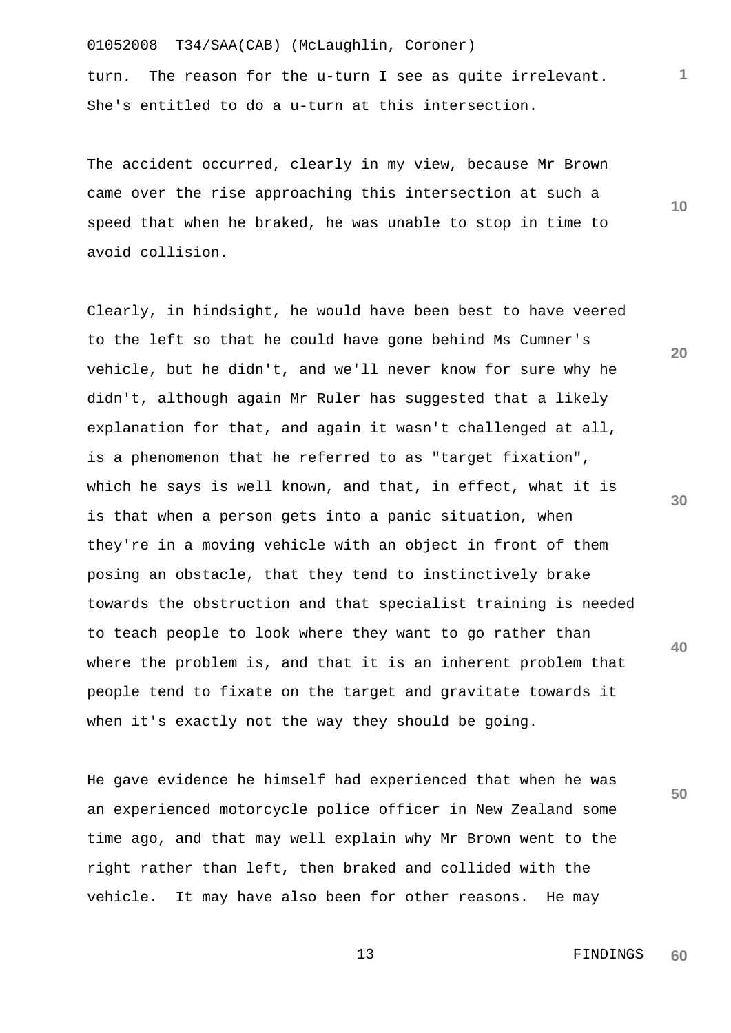turn. The reason for the u-turn I see as quite irrelevant. She's entitled to do a u-turn at this intersection.

The accident occurred, clearly in my view, because Mr Brown came over the rise approaching this intersection at such a speed that when he braked, he was unable to stop in time to avoid collision.

Clearly, in hindsight, he would have been best to have veered to the left so that he could have gone behind Ms Cumner's vehicle, but he didn't, and we'll never know for sure why he didn't, although again Mr Ruler has suggested that a likely explanation for that, and again it wasn't challenged at all, is a phenomenon that he referred to as "target fixation", which he says is well known, and that, in effect, what it is is that when a person gets into a panic situation, when they're in a moving vehicle with an object in front of them posing an obstacle, that they tend to instinctively brake towards the obstruction and that specialist training is needed to teach people to look where they want to go rather than where the problem is, and that it is an inherent problem that people tend to fixate on the target and gravitate towards it when it's exactly not the way they should be going.

He gave evidence he himself had experienced that when he was an experienced motorcycle police officer in New Zealand some time ago, and that may well explain why Mr Brown went to the right rather than left, then braked and collided with the vehicle. It may have also been for other reasons. He may

**10** 

**1**

**20** 

**30** 

**40**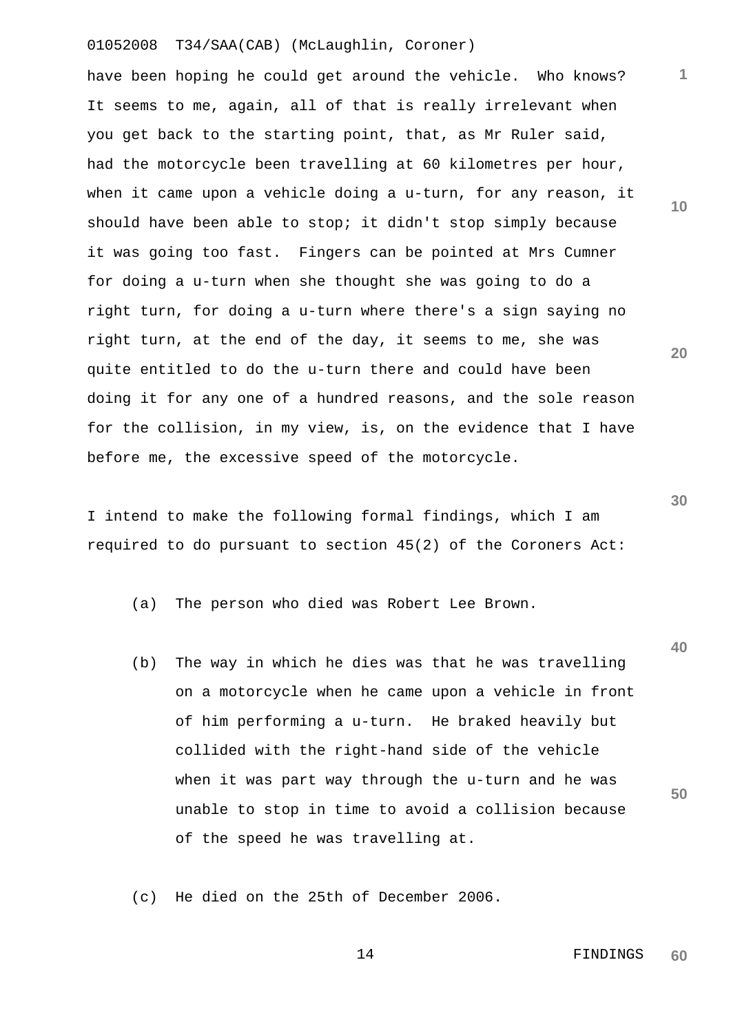have been hoping he could get around the vehicle. Who knows? It seems to me, again, all of that is really irrelevant when you get back to the starting point, that, as Mr Ruler said, had the motorcycle been travelling at 60 kilometres per hour, when it came upon a vehicle doing a u-turn, for any reason, it should have been able to stop; it didn't stop simply because it was going too fast. Fingers can be pointed at Mrs Cumner for doing a u-turn when she thought she was going to do a right turn, for doing a u-turn where there's a sign saying no right turn, at the end of the day, it seems to me, she was quite entitled to do the u-turn there and could have been doing it for any one of a hundred reasons, and the sole reason for the collision, in my view, is, on the evidence that I have before me, the excessive speed of the motorcycle.

I intend to make the following formal findings, which I am required to do pursuant to section 45(2) of the Coroners Act:

(a) The person who died was Robert Lee Brown.

(b) The way in which he dies was that he was travelling on a motorcycle when he came upon a vehicle in front of him performing a u-turn. He braked heavily but collided with the right-hand side of the vehicle when it was part way through the u-turn and he was unable to stop in time to avoid a collision because of the speed he was travelling at.

(c) He died on the 25th of December 2006.

 14 FINDINGS **60** 

**1**

**10** 

**20** 

**30** 

**40**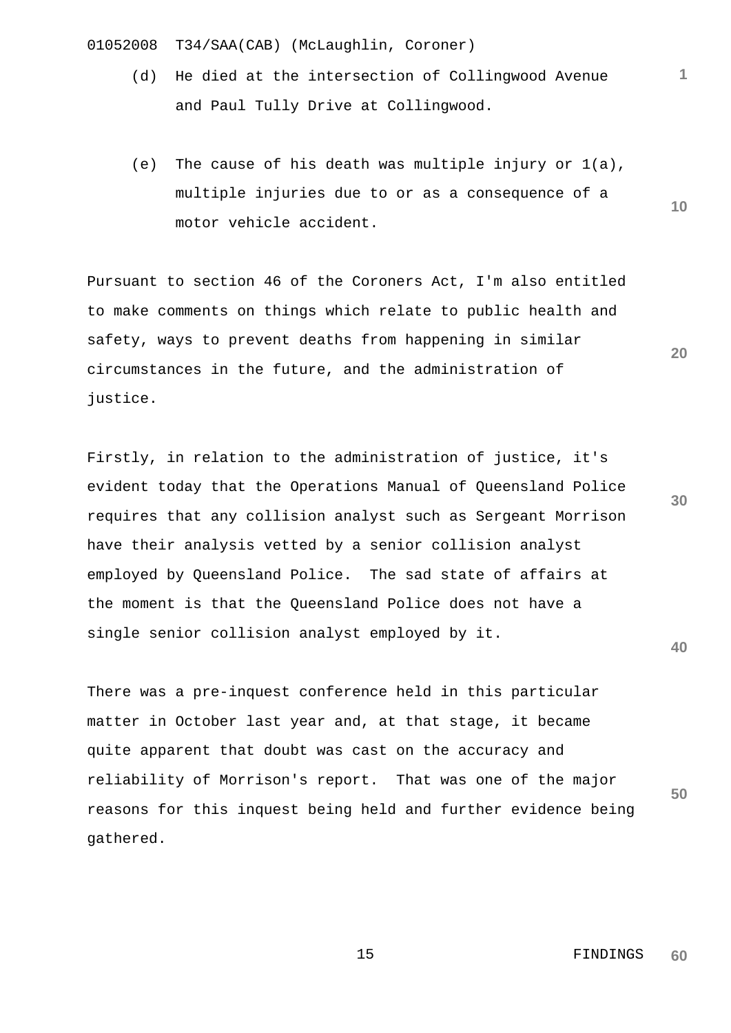- (d) He died at the intersection of Collingwood Avenue and Paul Tully Drive at Collingwood.
- (e) The cause of his death was multiple injury or 1(a), multiple injuries due to or as a consequence of a motor vehicle accident.

Pursuant to section 46 of the Coroners Act, I'm also entitled to make comments on things which relate to public health and safety, ways to prevent deaths from happening in similar circumstances in the future, and the administration of justice.

Firstly, in relation to the administration of justice, it's evident today that the Operations Manual of Queensland Police requires that any collision analyst such as Sergeant Morrison have their analysis vetted by a senior collision analyst employed by Queensland Police. The sad state of affairs at the moment is that the Queensland Police does not have a single senior collision analyst employed by it.

**50**  There was a pre-inquest conference held in this particular matter in October last year and, at that stage, it became quite apparent that doubt was cast on the accuracy and reliability of Morrison's report. That was one of the major reasons for this inquest being held and further evidence being gathered.

> 15 FINDINGS **60**

**20** 

**10** 

**1**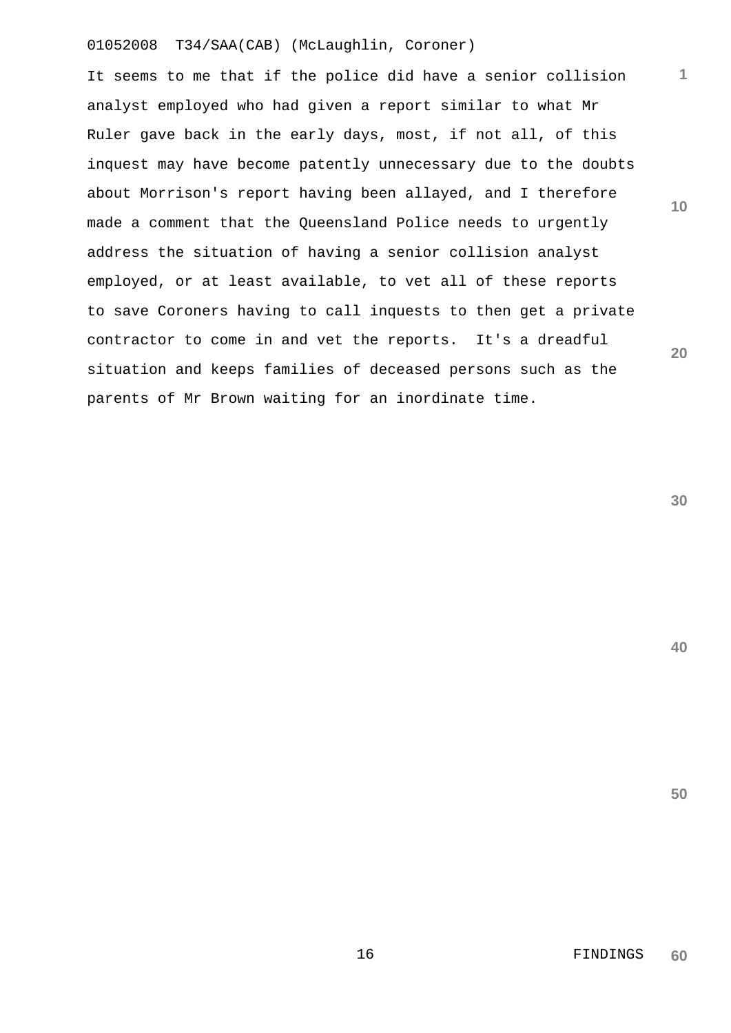It seems to me that if the police did have a senior collision analyst employed who had given a report similar to what Mr Ruler gave back in the early days, most, if not all, of this inquest may have become patently unnecessary due to the doubts about Morrison's report having been allayed, and I therefore made a comment that the Queensland Police needs to urgently address the situation of having a senior collision analyst employed, or at least available, to vet all of these reports to save Coroners having to call inquests to then get a private contractor to come in and vet the reports. It's a dreadful situation and keeps families of deceased persons such as the parents of Mr Brown waiting for an inordinate time.

**30** 

**40** 

**50** 

**1**

**10**